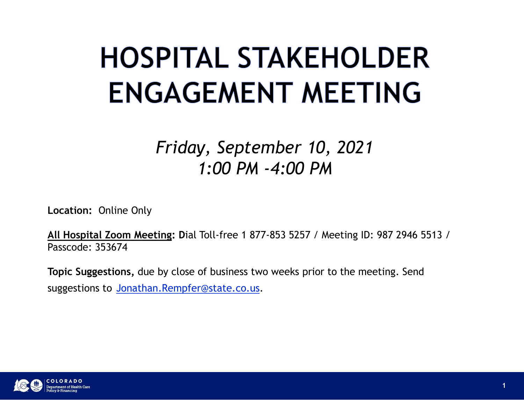#### **HOSPITAL STAKEHOLDER ENGAGEMENT MEETING**

#### Friday, September 10, 2021 1:00 PM -4:00 PM

Location: Online Only

All Hospital Zoom Meeting: Dial Toll-free 1 877-853 5257 / Meeting ID: 987 2946 5513 / Passcode: 353674

Topic Suggestions, due by close of business two weeks prior to the meeting. Send suggestions to Jonathan.Rempfer@state.co.us.

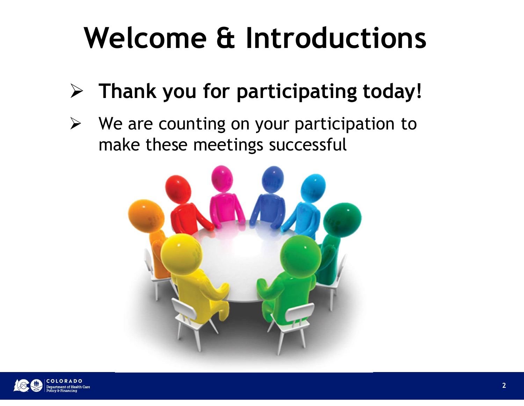#### Welcome & Introductions

- $\triangleright$  Thank you for participating today!
- $\triangleright$  We are counting on your participation to make these meetings successful



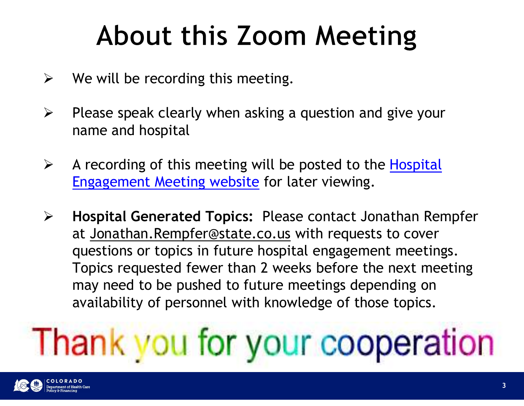#### About this Zoom Meeting

- $\triangleright$  We will be recording this meeting.
- $\triangleright$  Please speak clearly when asking a question and give your name and hospital
- $\triangleright$  A recording of this meeting will be posted to the Hospital Engagement Meeting website for later viewing.
- $\triangleright$  Hospital Generated Topics: Please contact Jonathan Rempfer We will be recording this meeting.<br>Please speak clearly when asking a question and give your<br>name and hospital<br>A recording of this meeting will be posted to the <u>Hospital</u><br>Engagement Meeting website for later viewing.<br>Hosp questions or topics in future hospital engagement meetings. Topics requested fewer than 2 weeks before the next meeting may need to be pushed to future meetings depending on availability of personnel with knowledge of those topics.

## Thank you for your cooperation

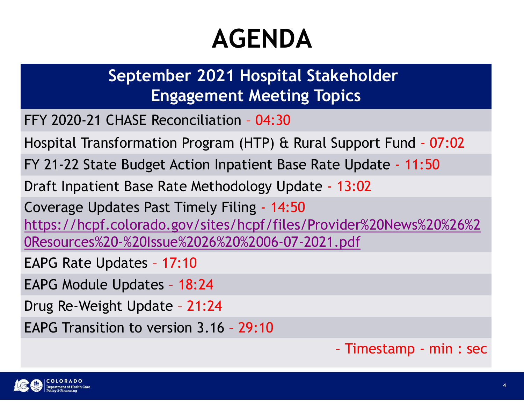#### AGENDA

# September 2021 Hospital Stakeholder Engagement Meeting Topics **AGENDA<br>
September 2021 Hospital Stakeholder<br>
Engagement Meeting Topics<br>
FFY 2020-21 CHASE Reconciliation - 04:30<br>
Hospital Transformation Program (HTP) & Rural Support Fund - 07:02<br>
FY 21-22 State Budget Action Inpatient AGENDA<br>
September 2021 Hospital Stakeholder<br>
Engagement Meeting Topics<br>
FFY 2020-21 CHASE Reconciliation - 04:30<br>
Hospital Transformation Program (HTP) & Rural Support Fund - 07:02<br>
FY 21-22 State Budget Action Inpatient AGENDA<br>
September 2021 Hospital Stakeholder<br>
Engagement Meeting Topics<br>
FFY 2020-21 CHASE Reconciliation - 04:30<br>
Hospital Transformation Program (HTP) & Rural Support Fund - 07:02<br>
FY 21-22 State Budget Action Inpatient**

**AGENDA**<br> **September 2021 Hospital Stakeholder**<br> **Engagement Meeting Topics**<br>
FFY 2020-21 CHASE Reconciliation - 04:30<br>
Hospital Transformation Program (HTP) & Rural Support Fund - 07:02<br>
FY 21-22 State Budget Action Inpa September 2021 Hospital Stakeholder<br>Engagement Meeting Topics<br>FFY 2020-21 CHASE Reconciliation - 04:30<br>Hospital Transformation Program (HTP) & Rural Support Fund - 07:02<br>FY 21-22 State Budget Action Inpatient Base Rate Upd https://hcpf.colorado.gov/sites/hcpf/files/Provider%20News%20%26%2 0Resources%20-%20Issue%2026%20%2006-07-2021.pdf Engagement Meeting Topics<br>FFY 2020-21 CHASE Reconciliation - 04:30<br>Hospital Transformation Program (HTP) & Rural Support<br>FY 21-22 State Budget Action Inpatient Base Rate Upda<br>Draft Inpatient Base Rate Methodology Update - FFY 2020-21 CHASE Reconciliation - 04:30<br>Hospital Transformation Program (HTP) & Rural Support Fi<br>FY 21-22 State Budget Action Inpatient Base Rate Update<br>Draft Inpatient Base Rate Methodology Update - 13:02<br>Coverage Update Hospital Transformation Program (HTP) & Rural Support Fur<br>FY 21-22 State Budget Action Inpatient Base Rate Update -<br>Draft Inpatient Base Rate Methodology Update - 13:02<br>Coverage Updates Past Timely Filing - 14:50<br>https://h FY 21-22 State Budget Action Inpatient Base Rate Update - 11:50<br>
Draft Inpatient Base Rate Methodology Update - 13:02<br>
Coverage Updates Past Timely Filing - 14:50<br>
https://hcpf.colorado.gov/sites/hcpf/files/Provider%20News 13:02<br>ider%20News%20%26%2<br>.pdf<br>- Timestamp - min : sec

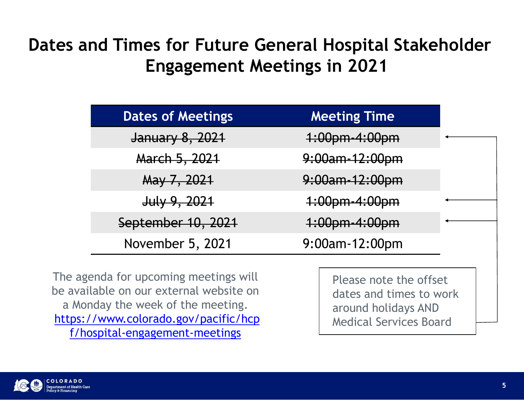#### Dates and Times for Future General Hospital Stakeholder Engagement Meetings in 2021

| <b>Engagement Meetings in 2021</b> |                          |  |
|------------------------------------|--------------------------|--|
|                                    |                          |  |
| <b>Dates of Meetings</b>           | <b>Meeting Time</b>      |  |
| January 8, 2021                    | <del>1:00pm-4:00pm</del> |  |
| March 5, 2021                      | 9:00am-12:00pm           |  |
| May 7, 2021                        | 9:00am-12:00pm           |  |
| $July$ 9, 2021                     | 1:00pm-4:00pm            |  |
|                                    |                          |  |
| September 10, 2021                 | 1:00pm-4:00pm            |  |

The agenda for upcoming meetings will be available on our external website on a Monday the week of the meeting. https://www.colorado.gov/pacific/hcp f/hospital-engagement-meetings

Please note the offset dates and times to work around holidays AND Medical Services Board

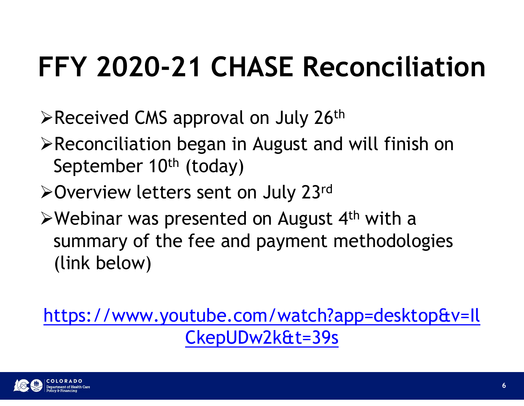#### FFY 2020-21 CHASE Reconciliation

- $\triangleright$  Received CMS approval on July 26<sup>th</sup>
- Reconciliation began in August and will finish on September 10<sup>th</sup> (today)
- **≻Overview letters sent on July 23rd**
- $\triangleright$  Webinar was presented on August 4<sup>th</sup> with a summary of the fee and payment methodologies (link below)

https://www.youtube.com/watch?app=desktop&v=Il CkepUDw2k&t=39s

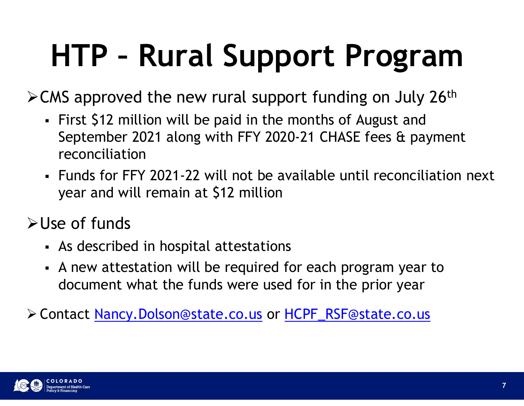### HTP – Rural Support Program

 $\geq$  CMS approved the new rural support funding on July 26<sup>th</sup>

- First \$12 million will be paid in the months of August and September 2021 along with FFY 2020-21 CHASE fees & payment reconciliation
- Funds for FFY 2021-22 will not be available until reconciliation next year and will remain at \$12 million
- Use of funds
	- As described in hospital attestations
	- A new attestation will be required for each program year to document what the funds were used for in the prior year

Contact Nancy.Dolson@state.co.us or HCPF\_RSF@state.co.us

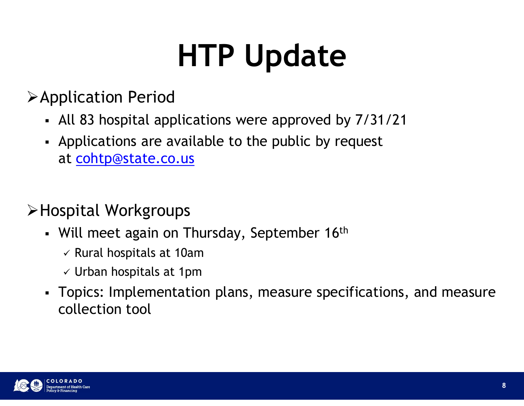### HTP Update

#### Application Period

- All 83 hospital applications were approved by 7/31/21
- Applications are available to the public by request at cohtp@state.co.us

#### Hospital Workgroups

- Will meet again on Thursday, September  $16<sup>th</sup>$ 
	- $\checkmark$  Rural hospitals at 10am
	- $\checkmark$  Urban hospitals at 1pm
- Topics: Implementation plans, measure specifications, and measure collection tool

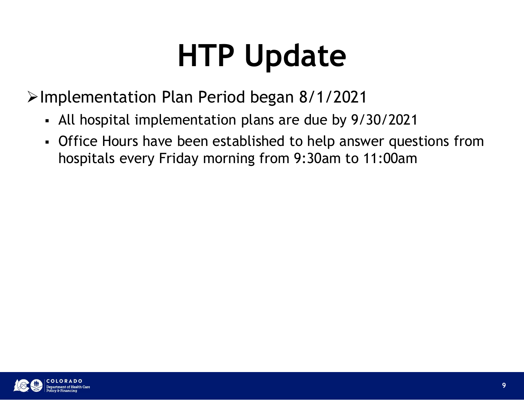#### HTP Update

Implementation Plan Period began 8/1/2021

- All hospital implementation plans are due by 9/30/2021
- Office Hours have been established to help answer questions from hospitals every Friday morning from 9:30am to 11:00am

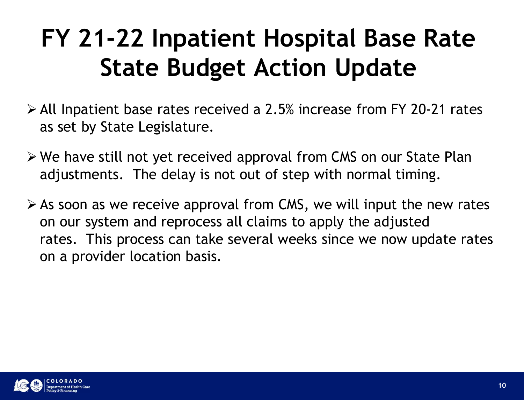# FY 21-22 Inpatient Hospital Base Rate State Budget Action Update **FY 21-22 Inpatient Hospital Base Rate**<br>**State Budget Action Update**<br>All Inpatient base rates received a 2.5% increase from FY 20-21 rates<br>as set by State Legislature.<br>We have still not yet received approval from CMS on ou

- All Inpatient base rates received a 2.5% increase from FY 20-21 rates as set by State Legislature.
- We have still not yet received approval from CMS on our State Plan
- $\triangleright$  As soon as we receive approval from CMS, we will input the new rates **State Budget Action Update**<br>All Inpatient base rates received a 2.5% increase from FY 20-21 rates<br>as set by State Legislature.<br>We have still not yet received approval from CMS on our State Plan<br>adjustments. The delay is n State Dudget Action Opdate<br>All Inpatient base rates received a 2.5% increase from FY 20-21 rates<br>as set by State Legislature.<br>We have still not yet received approval from CMS on our State Plan<br>adjustments. The delay is not on a provider location basis.

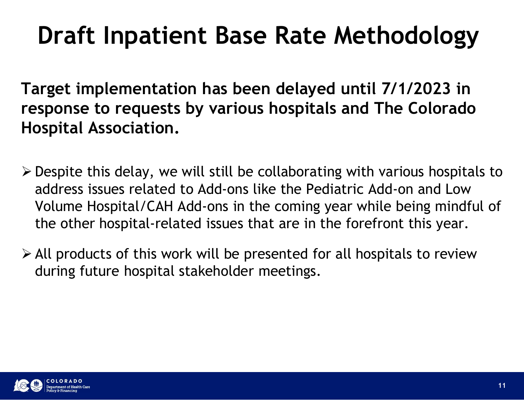#### Draft Inpatient Base Rate Methodology

Target implementation has been delayed until 7/1/2023 in response to requests by various hospitals and The Colorado Hospital Association.

- $\triangleright$  Despite this delay, we will still be collaborating with various hospitals to address issues related to Add-ons like the Pediatric Add-on and Low Volume Hospital/CAH Add-ons in the coming year while being mindful of the other hospital-related issues that are in the forefront this year.
- $\triangleright$  All products of this work will be presented for all hospitals to review during future hospital stakeholder meetings.

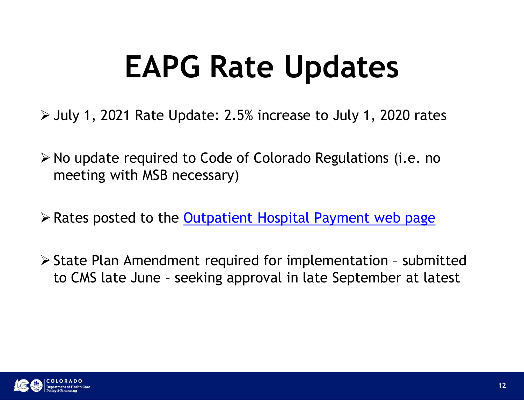#### EAPG Rate Updates

- $\ge$  July 1, 2021 Rate Update: 2.5% increase to July 1, 2020 rates
- $\triangleright$  No update required to Code of Colorado Regulations (i.e. no meeting with MSB necessary)
- Rates posted to the Outpatient Hospital Payment web page
- State Plan Amendment required for implementation submitted to CMS late year amendment required for implementation submitted to CMS late June seeking approval in late September at latest July 1, 2021 Rate Update: 2.5% increase to July 1, 2020 rates<br>No update required to Code of Colorado Regulations (i.e. no<br>meeting with MSB necessary)<br>Rates posted to the <u>Outpatient Hospital Payment web page</u><br>State Plan Am

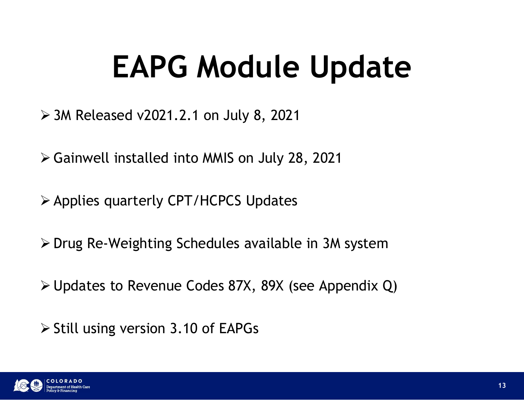#### EAPG Module Update

- 3M Released v2021.2.1 on July 8, 2021
- Gainwell installed into MMIS on July 28, 2021
- Applies quarterly CPT/HCPCS Updates
- $\triangleright$  Drug Re-Weighting Schedules available in 3M system
- Updates to Revenue Codes 87X, 89X (see Appendix Q)
- $\triangleright$  Still using version 3.10 of EAPGs

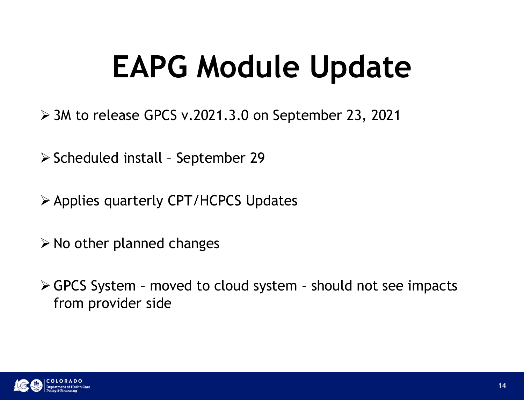# EAPG Module Update **EAPG Module Updat**<br>
Solvet to release GPCS v.2021.3.0 on September 23, 202<br>
Scheduled install - September 29<br>
Sapplies quarterly CPT/HCPCS Updates

- 3M to release GPCS v.2021.3.0 on September 23, 2021
- 
- Applies quarterly CPT/HCPCS Updates
- $\triangleright$  No other planned changes
- Solen Control of the September 25, 2021<br>
Scheduled install September 29<br>
Scheduled install September 29<br>
> Applies quarterly CPT/HCPCS Updates<br>
> No other planned changes<br>
> GPCS System moved to cloud system should from provider side

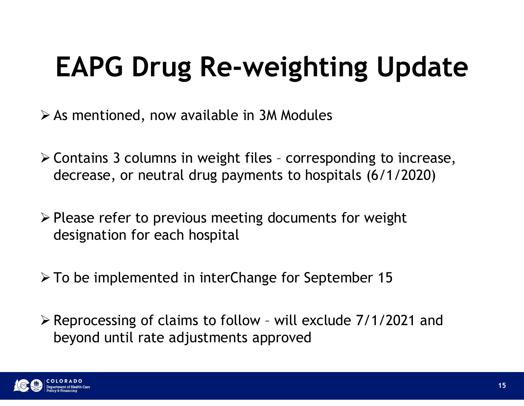#### EAPG Drug Re-weighting Update

 $\triangleright$  As mentioned, now available in 3M Modules

- EAPG Drug Re-weighting Update<br>
> As mentioned, now available in 3M Modules<br>
> Contains 3 columns in weight files corresponding to increase,<br>
decrease, or neutral drug payments to hospitals (6/1/2020) decrease, or neutral drug payments to hospitals (6/1/2020) **EAPG Drug Re-weighting Update**<br>  $\triangleright$  As mentioned, now available in 3M Modules<br>  $\triangleright$  Contains 3 columns in weight files - corresponding to increase,<br>
decrease, or neutral drug payments to hospitals (6/1/2020)<br>  $\triangleright$ As mentioned, now available in 3M Modules<br>  $\geq$  Contains 3 columns in weight files - corresponding to increase,<br>
decrease, or neutral drug payments to hospitals (6/1/2020)<br>  $\geq$  Please refer to previous meeting document Representing 3 columns in weight files - corresponding to increase,<br>decrease, or neutral drug payments to hospitals (6/1/2020)<br>A Please refer to previous meeting documents for weight<br>designation for each hospital<br>A P To b
- designation for each hospital
- 
- beyond until rate adjustments approved

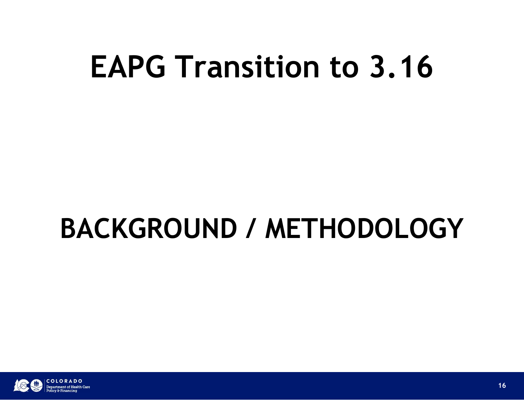#### BACKGROUND / METHODOLOGY

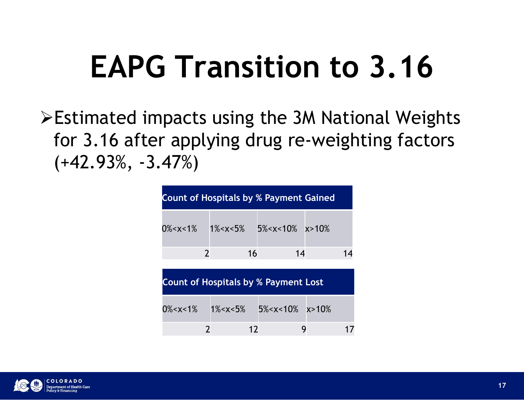Estimated impacts using the 3M National Weights for 3.16 after applying drug re-weighting factors (+42.93%, -3.47%) oncts using the 3M National Weights<br>
r applying drug re-weighting factors<br>
47%)<br>
Count of Hospitals by % Payment Gained<br>
0%-x<1% 1%-x<5% 5%-x<10% x>10%<br>
2 16 14 14 2 16 14 14

| 47%)            |                |                       | r applying drug re-weighting factors          |         |    |
|-----------------|----------------|-----------------------|-----------------------------------------------|---------|----|
|                 |                |                       | <b>Count of Hospitals by % Payment Gained</b> |         |    |
| $0\% < x < 1\%$ | $\overline{2}$ | $1\% < x < 5\%$<br>16 | $5\% < x < 10\%$ $x > 10\%$<br>14             |         | 14 |
|                 |                |                       | <b>Count of Hospitals by % Payment Lost</b>   |         |    |
| $0\% < x < 1\%$ |                | $1\% < x < 5\%$       | $5\% < x < 10\%$                              | x > 10% |    |
|                 | $\overline{2}$ | 12                    |                                               | 9       | 17 |

| <b>Count of Hospitals by % Payment Lost</b> |  |  |  |    |
|---------------------------------------------|--|--|--|----|
| $0\% 1% 5% x>10%$                           |  |  |  |    |
|                                             |  |  |  | 17 |

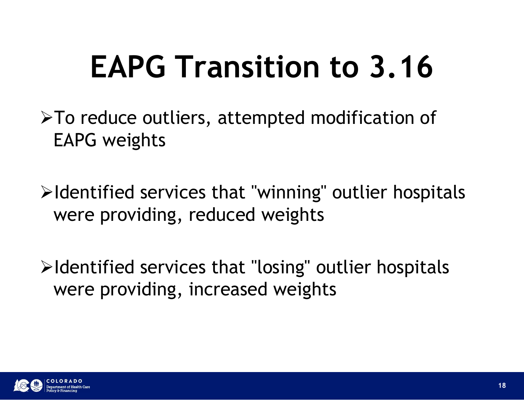To reduce outliers, attempted modification of EAPG weights

 $\blacktriangleright$ Identified services that "winning" outlier hospitals were providing, reduced weights

 $\blacktriangleright$ Identified services that "losing" outlier hospitals were providing, increased weights

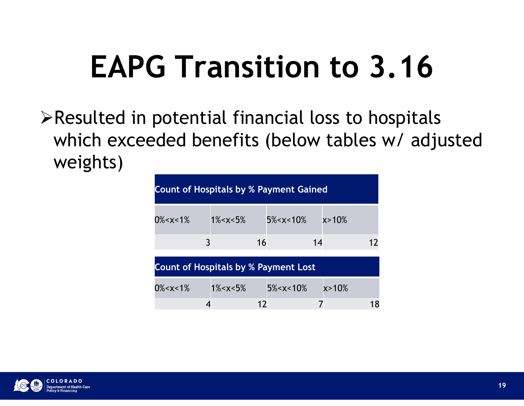$\triangleright$  Resulted in potential financial loss to hospitals which exceeded benefits (below tables w/ adjusted weights) **G Transition to 3.16**<br>potential financial loss to hospitals<br>ded benefits (below tables w/ adjusted<br>count of Hospitals by % Payment Gained<br>0%<x<1%  $1$ 1%<x<5% 5%<x<10% x>10%<br>3 16 14 12 COLLECTE CONTROLLER<br>
Spitals by % Payment Gained<br>
3 16 14 12<br>
Spitals by % Payment Lost<br>
3 16 14 12<br>
Spitals by % Payment Lost<br>
18 w x Fayment Lost<br>
18 w x Fayment Lost

|                 |                 |                                               | potential financial loss to nospitals<br>ded benefits (below tables w/ adjusted |    |
|-----------------|-----------------|-----------------------------------------------|---------------------------------------------------------------------------------|----|
|                 |                 | <b>Count of Hospitals by % Payment Gained</b> |                                                                                 |    |
| $0\% < x < 1\%$ | $1\% < x < 5\%$ | 5% < x < 10%                                  | $x > 10\%$                                                                      |    |
|                 | 3               | 16                                            | 14                                                                              | 12 |
|                 |                 | <b>Count of Hospitals by % Payment Lost</b>   |                                                                                 |    |
| $0\% < x < 1\%$ | $1\% < x < 5\%$ | $5\% < x < 10\%$                              | x > 10%                                                                         |    |
|                 | 4               | 12                                            | $\overline{7}$                                                                  | 18 |
|                 |                 |                                               |                                                                                 |    |
|                 |                 |                                               |                                                                                 |    |

| <b>Count of Hospitals by % Payment Lost</b>                                                                                                           |                 |                  |            |    |  |  |  |  |
|-------------------------------------------------------------------------------------------------------------------------------------------------------|-----------------|------------------|------------|----|--|--|--|--|
| 0% <x<1%< td=""><td><math>1\% &lt; x &lt; 5\%</math></td><td><math>5\% &lt; x &lt; 10\%</math></td><td><math>x &gt; 10\%</math></td><td></td></x<1%<> | $1\% < x < 5\%$ | $5\% < x < 10\%$ | $x > 10\%$ |    |  |  |  |  |
|                                                                                                                                                       |                 | 17               |            | 18 |  |  |  |  |

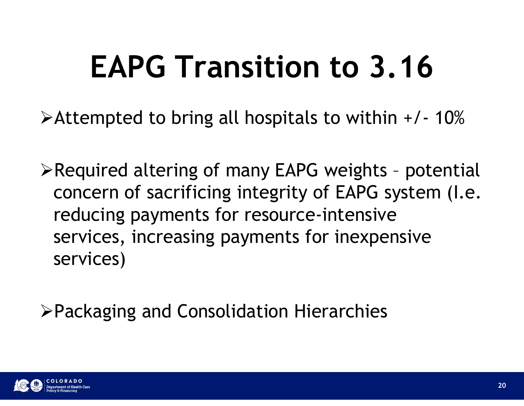# EAPG Transition to 3.16 **EAPG Transition to 3.16**<br>Attempted to bring all hospitals to within +/- 10%

**EAPG Transition to 3.16**<br>
>Attempted to bring all hospitals to within +/- 10%<br>
>Required altering of many EAPG weights - potential<br>
concern of sacrificing integrity of EAPG system (I.e.<br>
reducing payments for resource-in concern of sacrificing integrity of EAPG system (I.e. reducing payments for resource-intensive **EAFU II AIISILIOII LU 3. IU**<br>Attempted to bring all hospitals to within +/- 10%<br>Required altering of many EAPG weights - potential<br>concern of sacrificing integrity of EAPG system (I.e.<br>reducing payments for resource-inten services)

Packaging and Consolidation Hierarchies

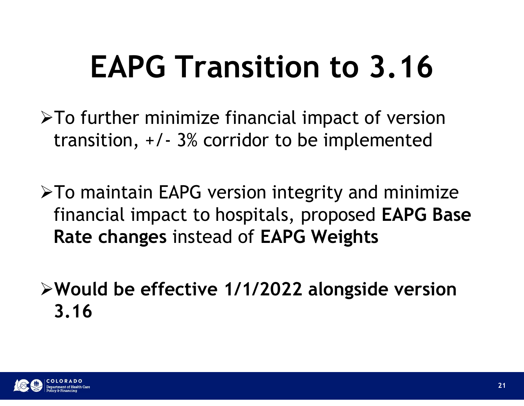- $\triangleright$ To further minimize financial impact of version **EAPG Transition to 3.16**<br>To further minimize financial impact of version<br>transition,  $+/- 3\%$  corridor to be implemented
- $\triangleright$ To maintain EAPG version integrity and minimize financial impact to hospitals, proposed EAPG Base Rate changes instead of EAPG Weights
- Would be effective 1/1/2022 alongside version 3.16

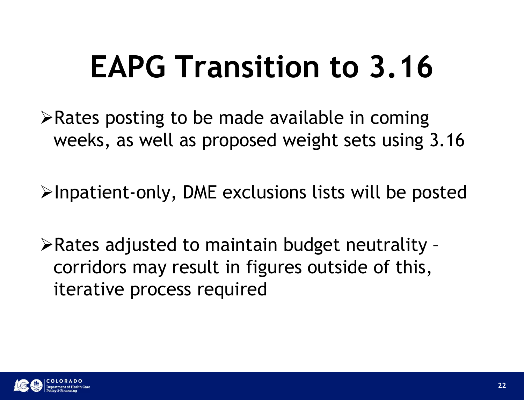$\triangleright$  Rates posting to be made available in coming weeks, as well as proposed weight sets using 3.16

 $\triangleright$ Inpatient-only, DME exclusions lists will be posted

 $\triangleright$  Rates adjusted to maintain budget neutrality corridors may result in figures outside of this, iterative process required

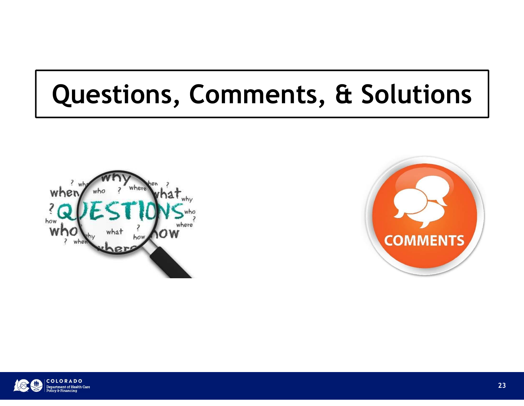#### Questions, Comments, & Solutions